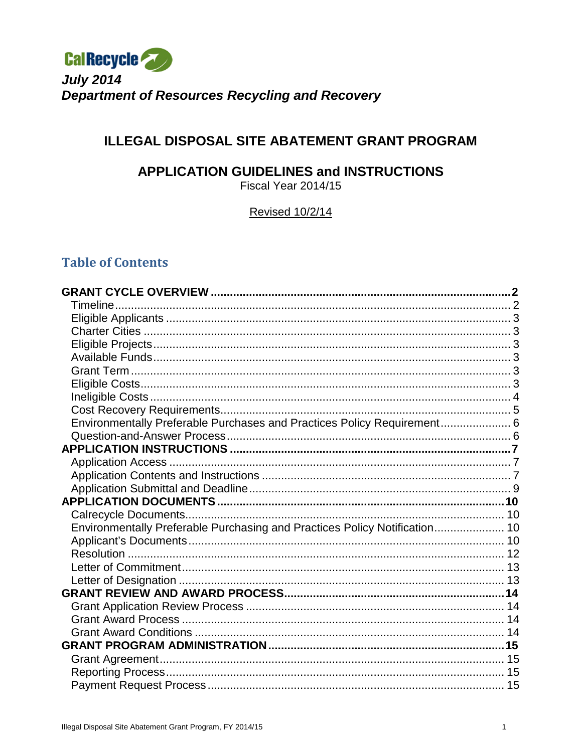

# **ILLEGAL DISPOSAL SITE ABATEMENT GRANT PROGRAM**

# **APPLICATION GUIDELINES and INSTRUCTIONS**

Fiscal Year 2014/15

Revised 10/2/14

# **Table of Contents**

| Environmentally Preferable Purchases and Practices Policy Requirement 6    |  |
|----------------------------------------------------------------------------|--|
|                                                                            |  |
|                                                                            |  |
|                                                                            |  |
|                                                                            |  |
|                                                                            |  |
|                                                                            |  |
|                                                                            |  |
| Environmentally Preferable Purchasing and Practices Policy Notification 10 |  |
|                                                                            |  |
|                                                                            |  |
|                                                                            |  |
|                                                                            |  |
|                                                                            |  |
|                                                                            |  |
|                                                                            |  |
|                                                                            |  |
|                                                                            |  |
|                                                                            |  |
|                                                                            |  |
|                                                                            |  |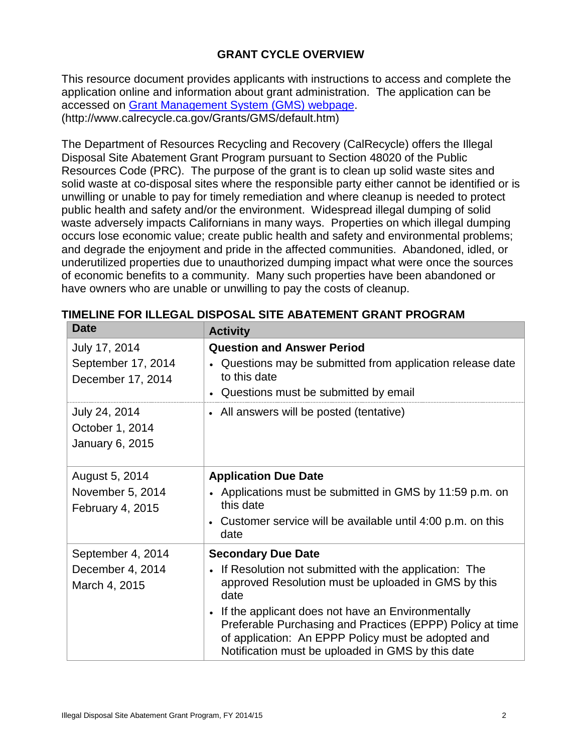# **GRANT CYCLE OVERVIEW**

<span id="page-1-0"></span>This resource document provides applicants with instructions to access and complete the application online and information about grant administration. The application can be accessed on [Grant Management System \(GMS\)](http://www.calrecycle.ca.gov/Grants/GMS/default.htm) webpage. (http://www.calrecycle.ca.gov/Grants/GMS/default.htm)

The Department of Resources Recycling and Recovery (CalRecycle) offers the Illegal Disposal Site Abatement Grant Program pursuant to Section 48020 of the Public Resources Code (PRC). The purpose of the grant is to clean up solid waste sites and solid waste at co-disposal sites where the responsible party either cannot be identified or is unwilling or unable to pay for timely remediation and where cleanup is needed to protect public health and safety and/or the environment. Widespread illegal dumping of solid waste adversely impacts Californians in many ways. Properties on which illegal dumping occurs lose economic value; create public health and safety and environmental problems; and degrade the enjoyment and pride in the affected communities. Abandoned, idled, or underutilized properties due to unauthorized dumping impact what were once the sources of economic benefits to a community. Many such properties have been abandoned or have owners who are unable or unwilling to pay the costs of cleanup.

| <b>Date</b>                                              | <b>Activity</b>                                                                                                                                                                                                                                                                                                                                                                    |
|----------------------------------------------------------|------------------------------------------------------------------------------------------------------------------------------------------------------------------------------------------------------------------------------------------------------------------------------------------------------------------------------------------------------------------------------------|
| July 17, 2014<br>September 17, 2014<br>December 17, 2014 | <b>Question and Answer Period</b><br>Questions may be submitted from application release date<br>to this date<br>• Questions must be submitted by email                                                                                                                                                                                                                            |
| July 24, 2014<br>October 1, 2014<br>January 6, 2015      | • All answers will be posted (tentative)                                                                                                                                                                                                                                                                                                                                           |
| August 5, 2014<br>November 5, 2014<br>February 4, 2015   | <b>Application Due Date</b><br>• Applications must be submitted in GMS by 11:59 p.m. on<br>this date<br>• Customer service will be available until 4:00 p.m. on this<br>date                                                                                                                                                                                                       |
| September 4, 2014<br>December 4, 2014<br>March 4, 2015   | <b>Secondary Due Date</b><br>• If Resolution not submitted with the application: The<br>approved Resolution must be uploaded in GMS by this<br>date<br>• If the applicant does not have an Environmentally<br>Preferable Purchasing and Practices (EPPP) Policy at time<br>of application: An EPPP Policy must be adopted and<br>Notification must be uploaded in GMS by this date |

<span id="page-1-1"></span>**TIMELINE FOR ILLEGAL DISPOSAL SITE ABATEMENT GRANT PROGRAM**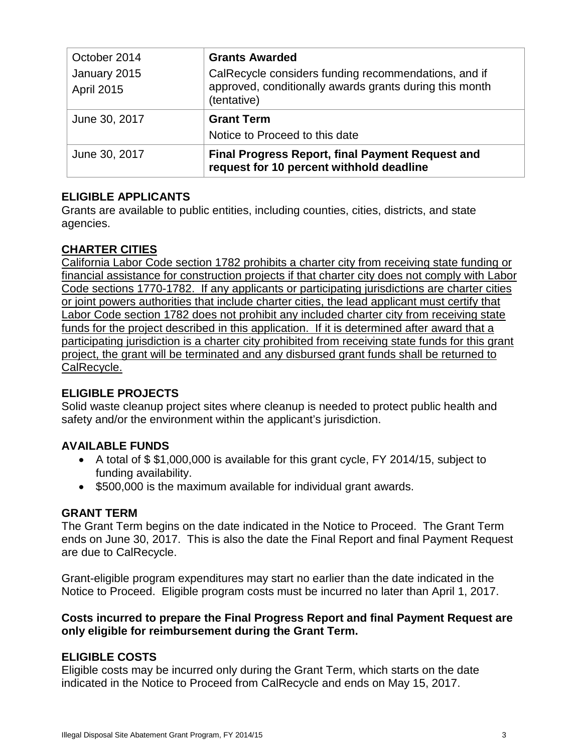| October 2014                      | <b>Grants Awarded</b>                                                                                                          |
|-----------------------------------|--------------------------------------------------------------------------------------------------------------------------------|
| January 2015<br><b>April 2015</b> | CalRecycle considers funding recommendations, and if<br>approved, conditionally awards grants during this month<br>(tentative) |
| June 30, 2017                     | <b>Grant Term</b>                                                                                                              |
|                                   | Notice to Proceed to this date                                                                                                 |
| June 30, 2017                     | <b>Final Progress Report, final Payment Request and</b><br>request for 10 percent withhold deadline                            |

# <span id="page-2-0"></span>**ELIGIBLE APPLICANTS**

Grants are available to public entities, including counties, cities, districts, and state agencies.

### <span id="page-2-1"></span>**CHARTER CITIES**

California Labor Code section 1782 prohibits a charter city from receiving state funding or financial assistance for construction projects if that charter city does not comply with Labor Code sections 1770-1782. If any applicants or participating jurisdictions are charter cities or joint powers authorities that include charter cities, the lead applicant must certify that Labor Code section 1782 does not prohibit any included charter city from receiving state funds for the project described in this application. If it is determined after award that a participating jurisdiction is a charter city prohibited from receiving state funds for this grant project, the grant will be terminated and any disbursed grant funds shall be returned to CalRecycle.

### <span id="page-2-2"></span>**ELIGIBLE PROJECTS**

Solid waste cleanup project sites where cleanup is needed to protect public health and safety and/or the environment within the applicant's jurisdiction.

### <span id="page-2-3"></span>**AVAILABLE FUNDS**

- A total of \$ \$1,000,000 is available for this grant cycle, FY 2014/15, subject to funding availability.
- \$500,000 is the maximum available for individual grant awards.

### <span id="page-2-4"></span>**GRANT TERM**

The Grant Term begins on the date indicated in the Notice to Proceed. The Grant Term ends on June 30, 2017. This is also the date the Final Report and final Payment Request are due to CalRecycle.

Grant-eligible program expenditures may start no earlier than the date indicated in the Notice to Proceed. Eligible program costs must be incurred no later than April 1, 2017.

### **Costs incurred to prepare the Final Progress Report and final Payment Request are only eligible for reimbursement during the Grant Term.**

# <span id="page-2-5"></span>**ELIGIBLE COSTS**

Eligible costs may be incurred only during the Grant Term, which starts on the date indicated in the Notice to Proceed from CalRecycle and ends on May 15, 2017.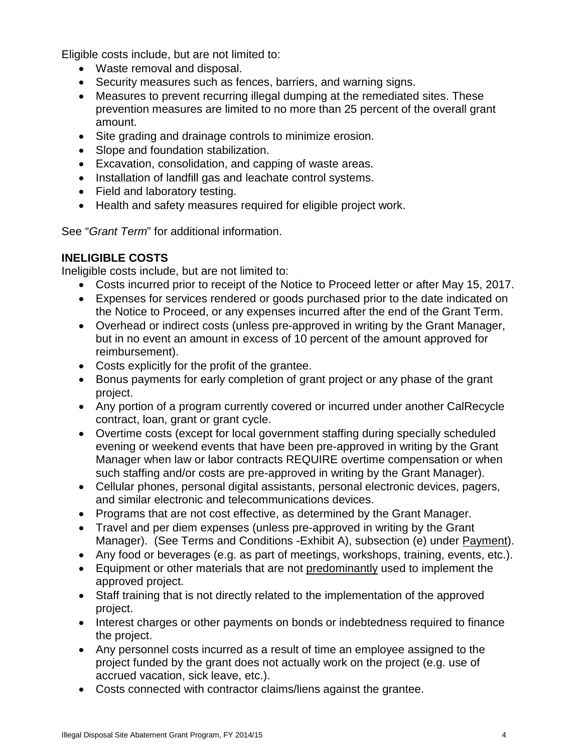Eligible costs include, but are not limited to:

- Waste removal and disposal.
- Security measures such as fences, barriers, and warning signs.
- Measures to prevent recurring illegal dumping at the remediated sites. These prevention measures are limited to no more than 25 percent of the overall grant amount.
- Site grading and drainage controls to minimize erosion.
- Slope and foundation stabilization.
- Excavation, consolidation, and capping of waste areas.
- Installation of landfill gas and leachate control systems.
- Field and laboratory testing.
- Health and safety measures required for eligible project work.

See "*Grant Term*" for additional information.

# <span id="page-3-0"></span>**INELIGIBLE COSTS**

Ineligible costs include, but are not limited to:

- Costs incurred prior to receipt of the Notice to Proceed letter or after May 15, 2017.
- Expenses for services rendered or goods purchased prior to the date indicated on the Notice to Proceed, or any expenses incurred after the end of the Grant Term.
- Overhead or indirect costs (unless pre-approved in writing by the Grant Manager, but in no event an amount in excess of 10 percent of the amount approved for reimbursement).
- Costs explicitly for the profit of the grantee.
- Bonus payments for early completion of grant project or any phase of the grant project.
- Any portion of a program currently covered or incurred under another CalRecycle contract, loan, grant or grant cycle.
- Overtime costs (except for local government staffing during specially scheduled evening or weekend events that have been pre-approved in writing by the Grant Manager when law or labor contracts REQUIRE overtime compensation or when such staffing and/or costs are pre-approved in writing by the Grant Manager).
- Cellular phones, personal digital assistants, personal electronic devices, pagers, and similar electronic and telecommunications devices.
- Programs that are not cost effective, as determined by the Grant Manager.
- Travel and per diem expenses (unless pre-approved in writing by the Grant Manager). (See Terms and Conditions -Exhibit A), subsection (e) under Payment).
- Any food or beverages (e.g. as part of meetings, workshops, training, events, etc.).
- Equipment or other materials that are not predominantly used to implement the approved project.
- Staff training that is not directly related to the implementation of the approved project.
- Interest charges or other payments on bonds or indebtedness required to finance the project.
- Any personnel costs incurred as a result of time an employee assigned to the project funded by the grant does not actually work on the project (e.g. use of accrued vacation, sick leave, etc.).
- Costs connected with contractor claims/liens against the grantee.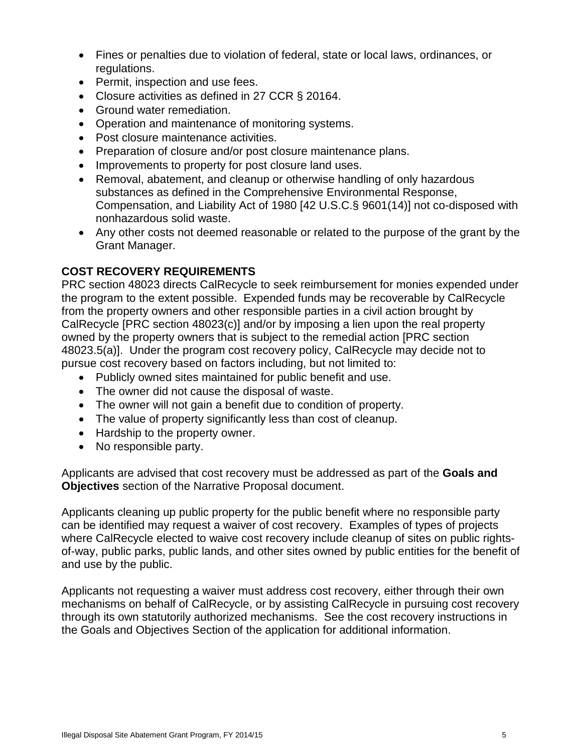- Fines or penalties due to violation of federal, state or local laws, ordinances, or regulations.
- Permit, inspection and use fees.
- Closure activities as defined in 27 CCR § 20164.
- Ground water remediation.
- Operation and maintenance of monitoring systems.
- Post closure maintenance activities.
- Preparation of closure and/or post closure maintenance plans.
- Improvements to property for post closure land uses.
- Removal, abatement, and cleanup or otherwise handling of only hazardous substances as defined in the Comprehensive Environmental Response, Compensation, and Liability Act of 1980 [42 U.S.C.§ 9601(14)] not co-disposed with nonhazardous solid waste.
- Any other costs not deemed reasonable or related to the purpose of the grant by the Grant Manager.

# <span id="page-4-0"></span>**COST RECOVERY REQUIREMENTS**

PRC section 48023 directs CalRecycle to seek reimbursement for monies expended under the program to the extent possible. Expended funds may be recoverable by CalRecycle from the property owners and other responsible parties in a civil action brought by CalRecycle [PRC section 48023(c)] and/or by imposing a lien upon the real property owned by the property owners that is subject to the remedial action [PRC section 48023.5(a)]. Under the program cost recovery policy, CalRecycle may decide not to pursue cost recovery based on factors including, but not limited to:

- Publicly owned sites maintained for public benefit and use.
- The owner did not cause the disposal of waste.
- The owner will not gain a benefit due to condition of property.
- The value of property significantly less than cost of cleanup.
- Hardship to the property owner.
- No responsible party.

Applicants are advised that cost recovery must be addressed as part of the **Goals and Objectives** section of the Narrative Proposal document.

Applicants cleaning up public property for the public benefit where no responsible party can be identified may request a waiver of cost recovery. Examples of types of projects where CalRecycle elected to waive cost recovery include cleanup of sites on public rightsof-way, public parks, public lands, and other sites owned by public entities for the benefit of and use by the public.

<span id="page-4-1"></span>Applicants not requesting a waiver must address cost recovery, either through their own mechanisms on behalf of CalRecycle, or by assisting CalRecycle in pursuing cost recovery through its own statutorily authorized mechanisms. See the cost recovery instructions in the Goals and Objectives Section of the application for additional information.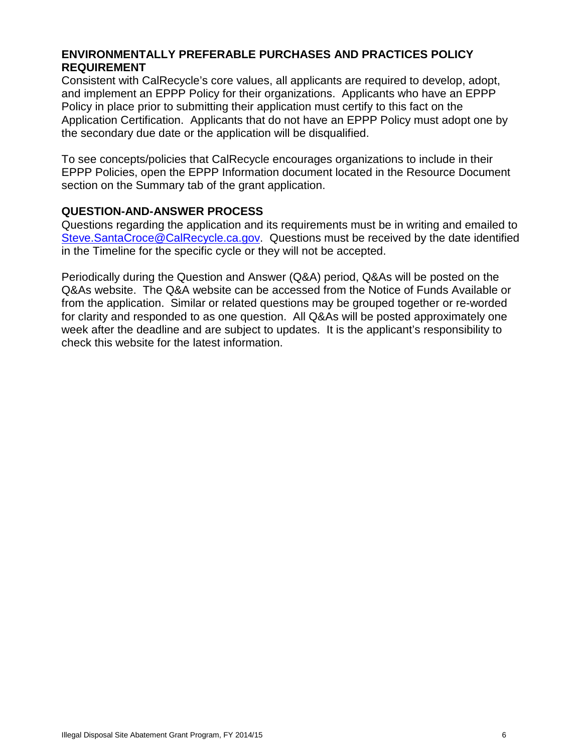# **ENVIRONMENTALLY PREFERABLE PURCHASES AND PRACTICES POLICY REQUIREMENT**

Consistent with CalRecycle's core values, all applicants are required to develop, adopt, and implement an EPPP Policy for their organizations. Applicants who have an EPPP Policy in place prior to submitting their application must certify to this fact on the Application Certification. Applicants that do not have an EPPP Policy must adopt one by the secondary due date or the application will be disqualified.

To see concepts/policies that CalRecycle encourages organizations to include in their EPPP Policies, open the EPPP Information document located in the Resource Document section on the Summary tab of the grant application.

#### <span id="page-5-0"></span>**QUESTION-AND-ANSWER PROCESS**

Questions regarding the application and its requirements must be in writing and emailed to [Steve.SantaCroce@CalRecycle.ca.gov.](http://www.calrecycle.ca.gov/StaffDirectory/Employee/1000510) Questions must be received by the date identified in the Timeline for the specific cycle or they will not be accepted.

Periodically during the Question and Answer (Q&A) period, Q&As will be posted on the Q&As website. The Q&A website can be accessed from the Notice of Funds Available or from the application. Similar or related questions may be grouped together or re-worded for clarity and responded to as one question. All Q&As will be posted approximately one week after the deadline and are subject to updates. It is the applicant's responsibility to check this website for the latest information.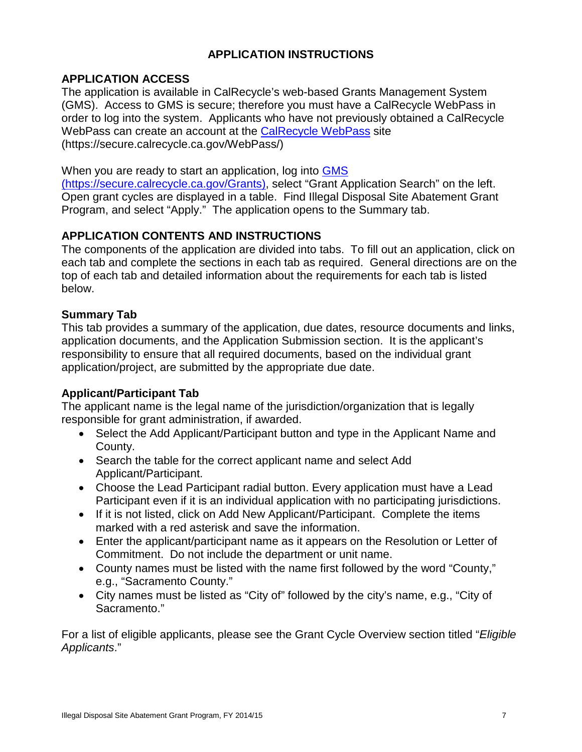# **APPLICATION INSTRUCTIONS**

# <span id="page-6-1"></span><span id="page-6-0"></span>**APPLICATION ACCESS**

The application is available in CalRecycle's web-based Grants Management System (GMS). Access to GMS is secure; therefore you must have a CalRecycle WebPass in order to log into the system. Applicants who have not previously obtained a CalRecycle WebPass can create an account at the [CalRecycle WebPass](https://secure.calrecycle.ca.gov/WebPass/) site (https://secure.calrecycle.ca.gov/WebPass/)

#### When you are ready to start an application, log into **GMS**

[\(https://secure.calrecycle.ca.gov/Grants\),](https://secure.calrecycle.ca.gov/Grants) select "Grant Application Search" on the left. Open grant cycles are displayed in a table. Find Illegal Disposal Site Abatement Grant Program, and select "Apply." The application opens to the Summary tab.

# <span id="page-6-2"></span>**APPLICATION CONTENTS AND INSTRUCTIONS**

The components of the application are divided into tabs. To fill out an application, click on each tab and complete the sections in each tab as required. General directions are on the top of each tab and detailed information about the requirements for each tab is listed below.

### **Summary Tab**

This tab provides a summary of the application, due dates, resource documents and links, application documents, and the Application Submission section. It is the applicant's responsibility to ensure that all required documents, based on the individual grant application/project, are submitted by the appropriate due date.

### **Applicant/Participant Tab**

The applicant name is the legal name of the jurisdiction/organization that is legally responsible for grant administration, if awarded.

- Select the Add Applicant/Participant button and type in the Applicant Name and County.
- Search the table for the correct applicant name and select Add Applicant/Participant.
- Choose the Lead Participant radial button. Every application must have a Lead Participant even if it is an individual application with no participating jurisdictions.
- If it is not listed, click on Add New Applicant/Participant. Complete the items marked with a red asterisk and save the information.
- Enter the applicant/participant name as it appears on the Resolution or Letter of Commitment. Do not include the department or unit name.
- County names must be listed with the name first followed by the word "County," e.g., "Sacramento County."
- City names must be listed as "City of" followed by the city's name, e.g., "City of Sacramento."

For a list of eligible applicants, please see the Grant Cycle Overview section titled "*Eligible Applicants*."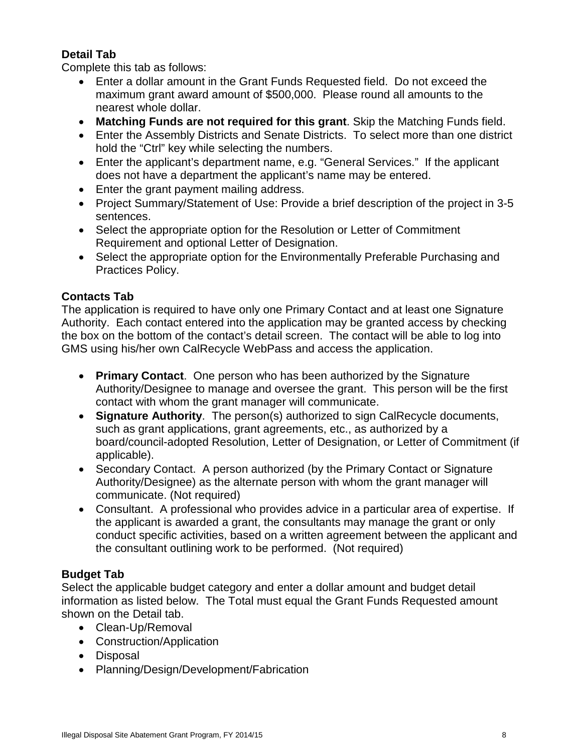# **Detail Tab**

Complete this tab as follows:

- Enter a dollar amount in the Grant Funds Requested field. Do not exceed the maximum grant award amount of \$500,000. Please round all amounts to the nearest whole dollar.
- **Matching Funds are not required for this grant**. Skip the Matching Funds field.
- Enter the Assembly Districts and Senate Districts. To select more than one district hold the "Ctrl" key while selecting the numbers.
- Enter the applicant's department name, e.g. "General Services." If the applicant does not have a department the applicant's name may be entered.
- Enter the grant payment mailing address.
- Project Summary/Statement of Use: Provide a brief description of the project in 3-5 sentences.
- Select the appropriate option for the Resolution or Letter of Commitment Requirement and optional Letter of Designation.
- Select the appropriate option for the Environmentally Preferable Purchasing and Practices Policy.

# **Contacts Tab**

The application is required to have only one Primary Contact and at least one Signature Authority. Each contact entered into the application may be granted access by checking the box on the bottom of the contact's detail screen. The contact will be able to log into GMS using his/her own CalRecycle WebPass and access the application.

- **Primary Contact**. One person who has been authorized by the Signature Authority/Designee to manage and oversee the grant. This person will be the first contact with whom the grant manager will communicate.
- **Signature Authority**. The person(s) authorized to sign CalRecycle documents, such as grant applications, grant agreements, etc., as authorized by a board/council-adopted Resolution, Letter of Designation, or Letter of Commitment (if applicable).
- Secondary Contact. A person authorized (by the Primary Contact or Signature Authority/Designee) as the alternate person with whom the grant manager will communicate. (Not required)
- Consultant. A professional who provides advice in a particular area of expertise. If the applicant is awarded a grant, the consultants may manage the grant or only conduct specific activities, based on a written agreement between the applicant and the consultant outlining work to be performed. (Not required)

# **Budget Tab**

Select the applicable budget category and enter a dollar amount and budget detail information as listed below. The Total must equal the Grant Funds Requested amount shown on the Detail tab.

- Clean-Up/Removal
- Construction/Application
- Disposal
- Planning/Design/Development/Fabrication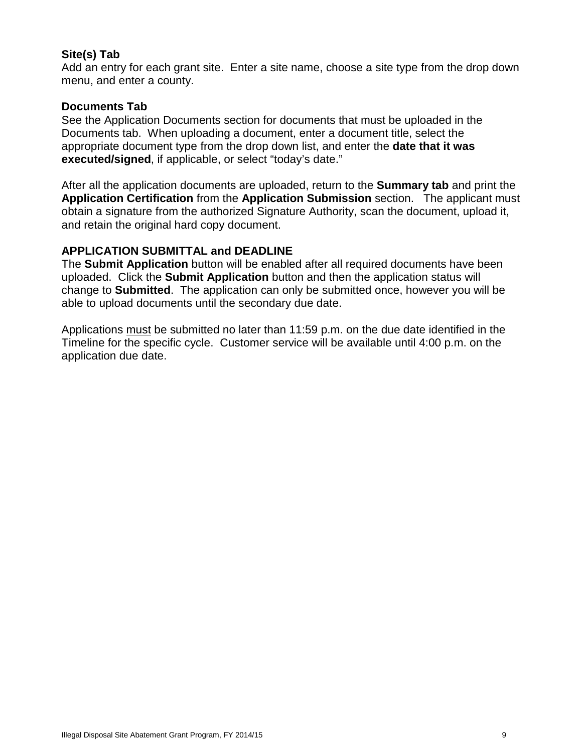### **Site(s) Tab**

Add an entry for each grant site. Enter a site name, choose a site type from the drop down menu, and enter a county.

### **Documents Tab**

See the Application Documents section for documents that must be uploaded in the Documents tab. When uploading a document, enter a document title, select the appropriate document type from the drop down list, and enter the **date that it was executed/signed**, if applicable, or select "today's date."

After all the application documents are uploaded, return to the **Summary tab** and print the **Application Certification** from the **Application Submission** section. The applicant must obtain a signature from the authorized Signature Authority, scan the document, upload it, and retain the original hard copy document.

#### <span id="page-8-0"></span>**APPLICATION SUBMITTAL and DEADLINE**

The **Submit Application** button will be enabled after all required documents have been uploaded. Click the **Submit Application** button and then the application status will change to **Submitted**. The application can only be submitted once, however you will be able to upload documents until the secondary due date.

Applications must be submitted no later than 11:59 p.m. on the due date identified in the Timeline for the specific cycle. Customer service will be available until 4:00 p.m. on the application due date.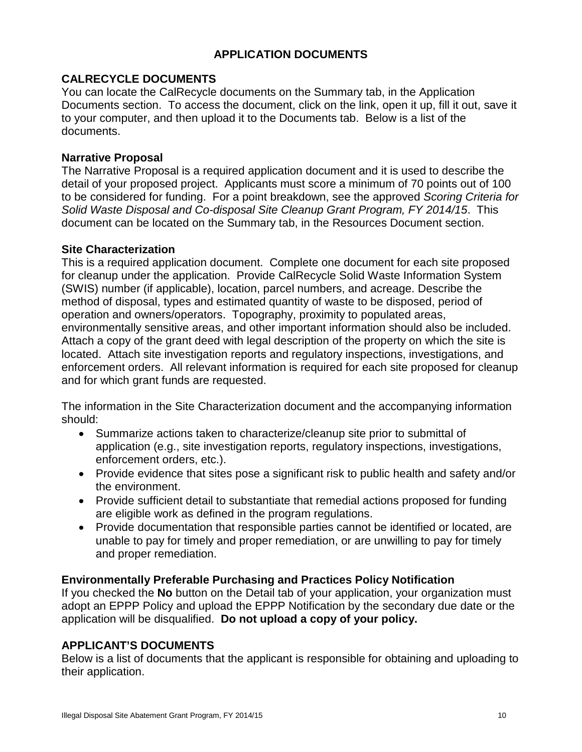# **APPLICATION DOCUMENTS**

# <span id="page-9-1"></span><span id="page-9-0"></span>**CALRECYCLE DOCUMENTS**

You can locate the CalRecycle documents on the Summary tab, in the Application Documents section. To access the document, click on the link, open it up, fill it out, save it to your computer, and then upload it to the Documents tab. Below is a list of the documents.

#### **Narrative Proposal**

The Narrative Proposal is a required application document and it is used to describe the detail of your proposed project. Applicants must score a minimum of 70 points out of 100 to be considered for funding. For a point breakdown, see the approved *Scoring Criteria for Solid Waste Disposal and Co-disposal Site Cleanup Grant Program, FY 2014/15*. This document can be located on the Summary tab, in the Resources Document section.

#### **Site Characterization**

This is a required application document. Complete one document for each site proposed for cleanup under the application. Provide CalRecycle Solid Waste Information System (SWIS) number (if applicable), location, parcel numbers, and acreage. Describe the method of disposal, types and estimated quantity of waste to be disposed, period of operation and owners/operators. Topography, proximity to populated areas, environmentally sensitive areas, and other important information should also be included. Attach a copy of the grant deed with legal description of the property on which the site is located. Attach site investigation reports and regulatory inspections, investigations, and enforcement orders. All relevant information is required for each site proposed for cleanup and for which grant funds are requested.

The information in the Site Characterization document and the accompanying information should:

- Summarize actions taken to characterize/cleanup site prior to submittal of application (e.g., site investigation reports, regulatory inspections, investigations, enforcement orders, etc.).
- Provide evidence that sites pose a significant risk to public health and safety and/or the environment.
- Provide sufficient detail to substantiate that remedial actions proposed for funding are eligible work as defined in the program regulations.
- Provide documentation that responsible parties cannot be identified or located, are unable to pay for timely and proper remediation, or are unwilling to pay for timely and proper remediation.

### <span id="page-9-2"></span>**Environmentally Preferable Purchasing and Practices Policy Notification**

If you checked the **No** button on the Detail tab of your application, your organization must adopt an EPPP Policy and upload the EPPP Notification by the secondary due date or the application will be disqualified. **Do not upload a copy of your policy.**

### <span id="page-9-3"></span>**APPLICANT'S DOCUMENTS**

Below is a list of documents that the applicant is responsible for obtaining and uploading to their application.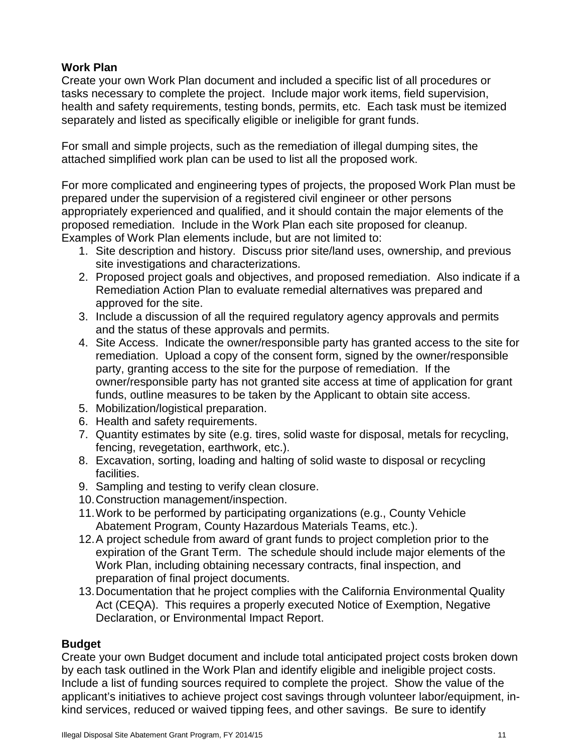# **Work Plan**

Create your own Work Plan document and included a specific list of all procedures or tasks necessary to complete the project. Include major work items, field supervision, health and safety requirements, testing bonds, permits, etc. Each task must be itemized separately and listed as specifically eligible or ineligible for grant funds.

For small and simple projects, such as the remediation of illegal dumping sites, the attached simplified work plan can be used to list all the proposed work.

For more complicated and engineering types of projects, the proposed Work Plan must be prepared under the supervision of a registered civil engineer or other persons appropriately experienced and qualified, and it should contain the major elements of the proposed remediation. Include in the Work Plan each site proposed for cleanup. Examples of Work Plan elements include, but are not limited to:

- 1. Site description and history. Discuss prior site/land uses, ownership, and previous site investigations and characterizations.
- 2. Proposed project goals and objectives, and proposed remediation. Also indicate if a Remediation Action Plan to evaluate remedial alternatives was prepared and approved for the site.
- 3. Include a discussion of all the required regulatory agency approvals and permits and the status of these approvals and permits.
- 4. Site Access. Indicate the owner/responsible party has granted access to the site for remediation. Upload a copy of the consent form, signed by the owner/responsible party, granting access to the site for the purpose of remediation. If the owner/responsible party has not granted site access at time of application for grant funds, outline measures to be taken by the Applicant to obtain site access.
- 5. Mobilization/logistical preparation.
- 6. Health and safety requirements.
- 7. Quantity estimates by site (e.g. tires, solid waste for disposal, metals for recycling, fencing, revegetation, earthwork, etc.).
- 8. Excavation, sorting, loading and halting of solid waste to disposal or recycling facilities.
- 9. Sampling and testing to verify clean closure.
- 10.Construction management/inspection.
- 11.Work to be performed by participating organizations (e.g., County Vehicle Abatement Program, County Hazardous Materials Teams, etc.).
- 12.A project schedule from award of grant funds to project completion prior to the expiration of the Grant Term. The schedule should include major elements of the Work Plan, including obtaining necessary contracts, final inspection, and preparation of final project documents.
- 13.Documentation that he project complies with the California Environmental Quality Act (CEQA). This requires a properly executed Notice of Exemption, Negative Declaration, or Environmental Impact Report.

# **Budget**

Create your own Budget document and include total anticipated project costs broken down by each task outlined in the Work Plan and identify eligible and ineligible project costs. Include a list of funding sources required to complete the project. Show the value of the applicant's initiatives to achieve project cost savings through volunteer labor/equipment, inkind services, reduced or waived tipping fees, and other savings. Be sure to identify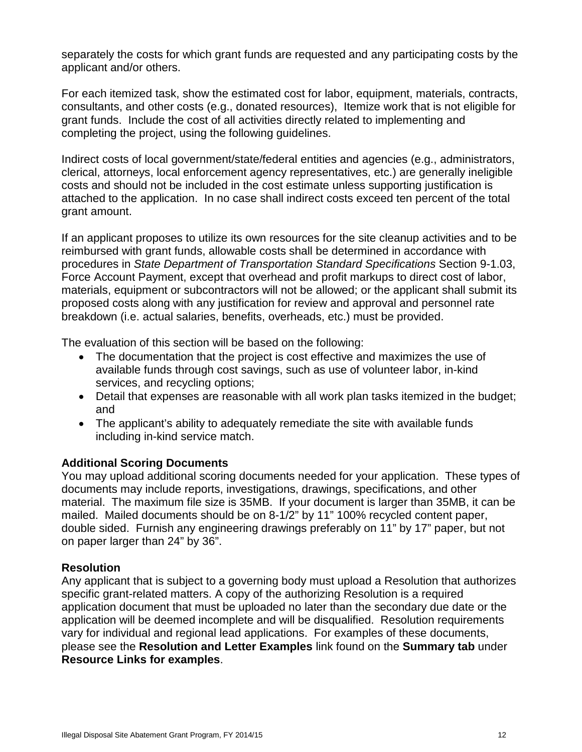separately the costs for which grant funds are requested and any participating costs by the applicant and/or others.

For each itemized task, show the estimated cost for labor, equipment, materials, contracts, consultants, and other costs (e.g., donated resources), Itemize work that is not eligible for grant funds. Include the cost of all activities directly related to implementing and completing the project, using the following guidelines.

Indirect costs of local government/state/federal entities and agencies (e.g., administrators, clerical, attorneys, local enforcement agency representatives, etc.) are generally ineligible costs and should not be included in the cost estimate unless supporting justification is attached to the application. In no case shall indirect costs exceed ten percent of the total grant amount.

If an applicant proposes to utilize its own resources for the site cleanup activities and to be reimbursed with grant funds, allowable costs shall be determined in accordance with procedures in *State Department of Transportation Standard Specifications* Section 9-1.03, Force Account Payment, except that overhead and profit markups to direct cost of labor, materials, equipment or subcontractors will not be allowed; or the applicant shall submit its proposed costs along with any justification for review and approval and personnel rate breakdown (i.e. actual salaries, benefits, overheads, etc.) must be provided.

The evaluation of this section will be based on the following:

- The documentation that the project is cost effective and maximizes the use of available funds through cost savings, such as use of volunteer labor, in-kind services, and recycling options;
- Detail that expenses are reasonable with all work plan tasks itemized in the budget; and
- The applicant's ability to adequately remediate the site with available funds including in-kind service match.

### **Additional Scoring Documents**

You may upload additional scoring documents needed for your application. These types of documents may include reports, investigations, drawings, specifications, and other material. The maximum file size is 35MB. If your document is larger than 35MB, it can be mailed. Mailed documents should be on 8-1/2" by 11" 100% recycled content paper, double sided. Furnish any engineering drawings preferably on 11" by 17" paper, but not on paper larger than 24" by 36".

### <span id="page-11-0"></span>**Resolution**

Any applicant that is subject to a governing body must upload a Resolution that authorizes specific grant-related matters. A copy of the authorizing Resolution is a required application document that must be uploaded no later than the secondary due date or the application will be deemed incomplete and will be disqualified. Resolution requirements vary for individual and regional lead applications. For examples of these documents, please see the **Resolution and Letter Examples** link found on the **Summary tab** under **Resource Links for examples**.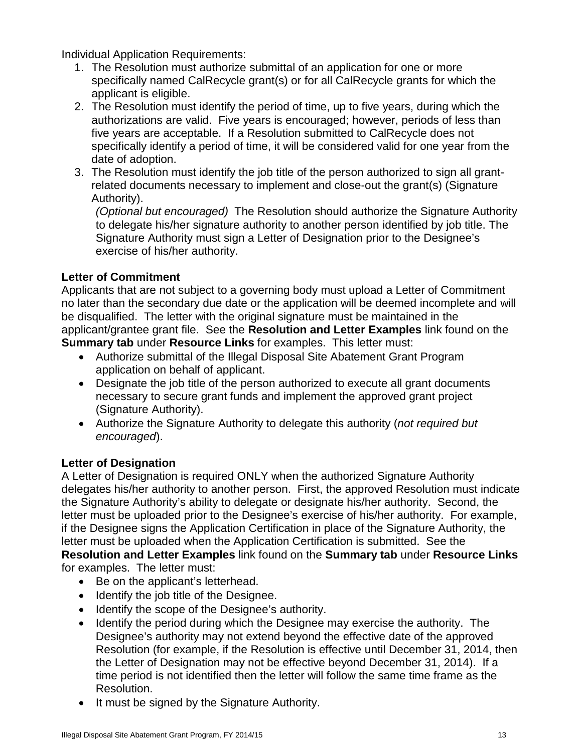Individual Application Requirements:

- 1. The Resolution must authorize submittal of an application for one or more specifically named CalRecycle grant(s) or for all CalRecycle grants for which the applicant is eligible.
- 2. The Resolution must identify the period of time, up to five years, during which the authorizations are valid. Five years is encouraged; however, periods of less than five years are acceptable. If a Resolution submitted to CalRecycle does not specifically identify a period of time, it will be considered valid for one year from the date of adoption.
- 3. The Resolution must identify the job title of the person authorized to sign all grantrelated documents necessary to implement and close-out the grant(s) (Signature Authority).

*(Optional but encouraged)* The Resolution should authorize the Signature Authority to delegate his/her signature authority to another person identified by job title. The Signature Authority must sign a Letter of Designation prior to the Designee's exercise of his/her authority.

# <span id="page-12-0"></span>**Letter of Commitment**

Applicants that are not subject to a governing body must upload a Letter of Commitment no later than the secondary due date or the application will be deemed incomplete and will be disqualified. The letter with the original signature must be maintained in the applicant/grantee grant file. See the **Resolution and Letter Examples** link found on the **Summary tab** under **Resource Links** for examples. This letter must:

- Authorize submittal of the Illegal Disposal Site Abatement Grant Program application on behalf of applicant.
- Designate the job title of the person authorized to execute all grant documents necessary to secure grant funds and implement the approved grant project (Signature Authority).
- Authorize the Signature Authority to delegate this authority (*not required but encouraged*).

# <span id="page-12-1"></span>**Letter of Designation**

A Letter of Designation is required ONLY when the authorized Signature Authority delegates his/her authority to another person. First, the approved Resolution must indicate the Signature Authority's ability to delegate or designate his/her authority. Second, the letter must be uploaded prior to the Designee's exercise of his/her authority. For example, if the Designee signs the Application Certification in place of the Signature Authority, the letter must be uploaded when the Application Certification is submitted. See the **Resolution and Letter Examples** link found on the **Summary tab** under **Resource Links** for examples. The letter must:

- Be on the applicant's letterhead.
- Identify the job title of the Designee.
- Identify the scope of the Designee's authority.
- Identify the period during which the Designee may exercise the authority. The Designee's authority may not extend beyond the effective date of the approved Resolution (for example, if the Resolution is effective until December 31, 2014, then the Letter of Designation may not be effective beyond December 31, 2014). If a time period is not identified then the letter will follow the same time frame as the Resolution.
- It must be signed by the Signature Authority.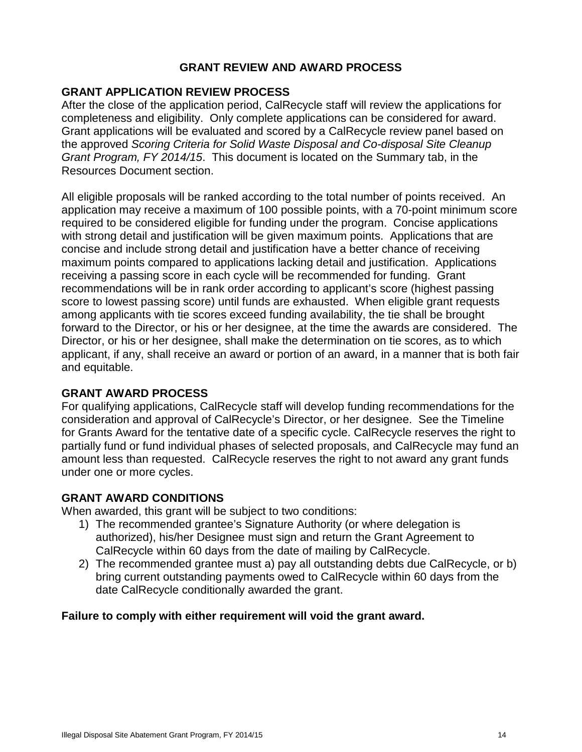### **GRANT REVIEW AND AWARD PROCESS**

### <span id="page-13-1"></span><span id="page-13-0"></span>**GRANT APPLICATION REVIEW PROCESS**

After the close of the application period, CalRecycle staff will review the applications for completeness and eligibility. Only complete applications can be considered for award. Grant applications will be evaluated and scored by a CalRecycle review panel based on the approved *Scoring Criteria for Solid Waste Disposal and Co-disposal Site Cleanup Grant Program, FY 2014/15*. This document is located on the Summary tab, in the Resources Document section.

All eligible proposals will be ranked according to the total number of points received. An application may receive a maximum of 100 possible points, with a 70-point minimum score required to be considered eligible for funding under the program. Concise applications with strong detail and justification will be given maximum points. Applications that are concise and include strong detail and justification have a better chance of receiving maximum points compared to applications lacking detail and justification. Applications receiving a passing score in each cycle will be recommended for funding. Grant recommendations will be in rank order according to applicant's score (highest passing score to lowest passing score) until funds are exhausted. When eligible grant requests among applicants with tie scores exceed funding availability, the tie shall be brought forward to the Director, or his or her designee, at the time the awards are considered. The Director, or his or her designee, shall make the determination on tie scores, as to which applicant, if any, shall receive an award or portion of an award, in a manner that is both fair and equitable.

### <span id="page-13-2"></span>**GRANT AWARD PROCESS**

For qualifying applications, CalRecycle staff will develop funding recommendations for the consideration and approval of CalRecycle's Director, or her designee. See the Timeline for Grants Award for the tentative date of a specific cycle. CalRecycle reserves the right to partially fund or fund individual phases of selected proposals, and CalRecycle may fund an amount less than requested. CalRecycle reserves the right to not award any grant funds under one or more cycles.

### <span id="page-13-3"></span>**GRANT AWARD CONDITIONS**

When awarded, this grant will be subject to two conditions:

- 1) The recommended grantee's Signature Authority (or where delegation is authorized), his/her Designee must sign and return the Grant Agreement to CalRecycle within 60 days from the date of mailing by CalRecycle.
- 2) The recommended grantee must a) pay all outstanding debts due CalRecycle, or b) bring current outstanding payments owed to CalRecycle within 60 days from the date CalRecycle conditionally awarded the grant.

### **Failure to comply with either requirement will void the grant award.**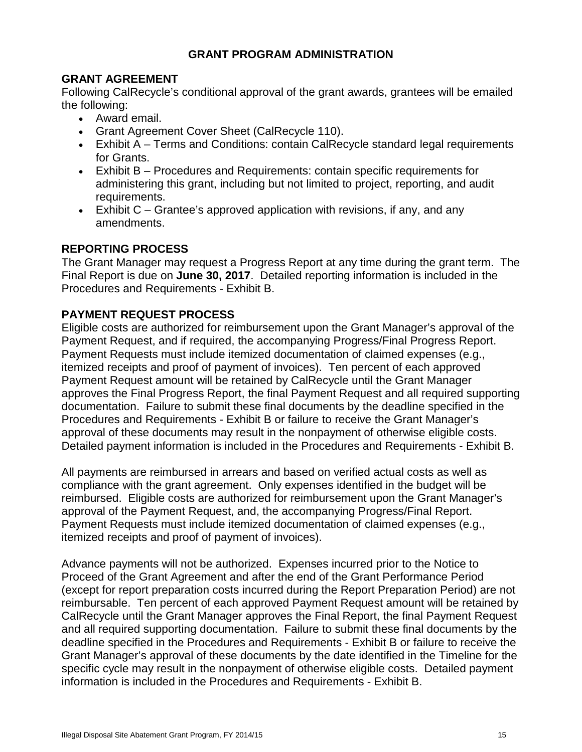# **GRANT PROGRAM ADMINISTRATION**

# <span id="page-14-1"></span><span id="page-14-0"></span>**GRANT AGREEMENT**

Following CalRecycle's conditional approval of the grant awards, grantees will be emailed the following:

- Award email.
- Grant Agreement Cover Sheet (CalRecycle 110).
- Exhibit A Terms and Conditions: contain CalRecycle standard legal requirements for Grants.
- Exhibit B Procedures and Requirements: contain specific requirements for administering this grant, including but not limited to project, reporting, and audit requirements.
- Exhibit C Grantee's approved application with revisions, if any, and any amendments.

# <span id="page-14-2"></span>**REPORTING PROCESS**

The Grant Manager may request a Progress Report at any time during the grant term. The Final Report is due on **June 30, 2017**. Detailed reporting information is included in the Procedures and Requirements - Exhibit B.

# <span id="page-14-3"></span>**PAYMENT REQUEST PROCESS**

Eligible costs are authorized for reimbursement upon the Grant Manager's approval of the Payment Request, and if required, the accompanying Progress/Final Progress Report. Payment Requests must include itemized documentation of claimed expenses (e.g., itemized receipts and proof of payment of invoices). Ten percent of each approved Payment Request amount will be retained by CalRecycle until the Grant Manager approves the Final Progress Report, the final Payment Request and all required supporting documentation. Failure to submit these final documents by the deadline specified in the Procedures and Requirements - Exhibit B or failure to receive the Grant Manager's approval of these documents may result in the nonpayment of otherwise eligible costs. Detailed payment information is included in the Procedures and Requirements - Exhibit B.

All payments are reimbursed in arrears and based on verified actual costs as well as compliance with the grant agreement. Only expenses identified in the budget will be reimbursed. Eligible costs are authorized for reimbursement upon the Grant Manager's approval of the Payment Request, and, the accompanying Progress/Final Report. Payment Requests must include itemized documentation of claimed expenses (e.g., itemized receipts and proof of payment of invoices).

Advance payments will not be authorized. Expenses incurred prior to the Notice to Proceed of the Grant Agreement and after the end of the Grant Performance Period (except for report preparation costs incurred during the Report Preparation Period) are not reimbursable. Ten percent of each approved Payment Request amount will be retained by CalRecycle until the Grant Manager approves the Final Report, the final Payment Request and all required supporting documentation. Failure to submit these final documents by the deadline specified in the Procedures and Requirements - Exhibit B or failure to receive the Grant Manager's approval of these documents by the date identified in the Timeline for the specific cycle may result in the nonpayment of otherwise eligible costs. Detailed payment information is included in the Procedures and Requirements - Exhibit B.